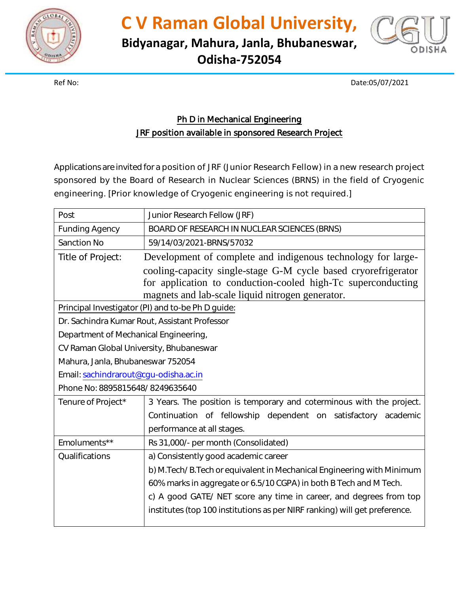

**C V Raman Global University,**

**Bidyanagar, Mahura, Janla, Bhubaneswar, Odisha-752054**



Ref No: Date:05/07/2021

## Ph D in Mechanical Engineering JRF position available in sponsored Research Project

Applications are invited for a position of JRF (Junior Research Fellow) in a new research project sponsored by the Board of Research in Nuclear Sciences (BRNS) in the field of Cryogenic engineering. [Prior knowledge of Cryogenic engineering is not required.]

| Post                                              | Junior Research Fellow (JRF)                                               |  |
|---------------------------------------------------|----------------------------------------------------------------------------|--|
| <b>Funding Agency</b>                             | BOARD OF RESEARCH IN NUCLEAR SCIENCES (BRNS)                               |  |
| <b>Sanction No</b>                                | 59/14/03/2021-BRNS/57032                                                   |  |
| Title of Project:                                 | Development of complete and indigenous technology for large-               |  |
|                                                   | cooling-capacity single-stage G-M cycle based cryorefrigerator             |  |
|                                                   | for application to conduction-cooled high-Tc superconducting               |  |
|                                                   | magnets and lab-scale liquid nitrogen generator.                           |  |
| Principal Investigator (PI) and to-be Ph D guide: |                                                                            |  |
| Dr. Sachindra Kumar Rout, Assistant Professor     |                                                                            |  |
| Department of Mechanical Engineering,             |                                                                            |  |
| CV Raman Global University, Bhubaneswar           |                                                                            |  |
| Mahura, Janla, Bhubaneswar 752054                 |                                                                            |  |
| Email: sachindrarout@cgu-odisha.ac.in             |                                                                            |  |
| Phone No: 8895815648/8249635640                   |                                                                            |  |
| Tenure of Project*                                | 3 Years. The position is temporary and coterminous with the project.       |  |
|                                                   | Continuation of fellowship dependent on satisfactory academic              |  |
|                                                   | performance at all stages.                                                 |  |
| Emoluments**                                      | Rs 31,000/- per month (Consolidated)                                       |  |
| Qualifications                                    | a) Consistently good academic career                                       |  |
|                                                   | b) M. Tech/B. Tech or equivalent in Mechanical Engineering with Minimum    |  |
|                                                   | 60% marks in aggregate or 6.5/10 CGPA) in both B Tech and M Tech.          |  |
|                                                   | c) A good GATE/ NET score any time in career, and degrees from top         |  |
|                                                   | institutes (top 100 institutions as per NIRF ranking) will get preference. |  |
|                                                   |                                                                            |  |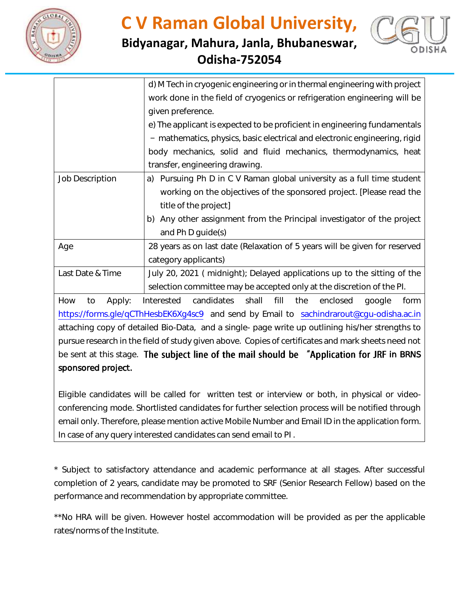

**Bidyanagar, Mahura, Janla, Bhubaneswar, Odisha-752054**



|                                                                                                    | d) M Tech in cryogenic engineering or in thermal engineering with project                  |  |
|----------------------------------------------------------------------------------------------------|--------------------------------------------------------------------------------------------|--|
|                                                                                                    | work done in the field of cryogenics or refrigeration engineering will be                  |  |
|                                                                                                    | given preference.                                                                          |  |
|                                                                                                    | e) The applicant is expected to be proficient in engineering fundamentals                  |  |
|                                                                                                    | - mathematics, physics, basic electrical and electronic engineering, rigid                 |  |
|                                                                                                    | body mechanics, solid and fluid mechanics, thermodynamics, heat                            |  |
|                                                                                                    | transfer, engineering drawing.                                                             |  |
| <b>Job Description</b>                                                                             | a) Pursuing Ph D in C V Raman global university as a full time student                     |  |
|                                                                                                    | working on the objectives of the sponsored project. [Please read the                       |  |
|                                                                                                    | title of the project]                                                                      |  |
|                                                                                                    | b) Any other assignment from the Principal investigator of the project                     |  |
|                                                                                                    | and Ph D guide(s)                                                                          |  |
| Age                                                                                                | 28 years as on last date (Relaxation of 5 years will be given for reserved                 |  |
|                                                                                                    | category applicants)                                                                       |  |
| Last Date & Time                                                                                   | July 20, 2021 (midnight); Delayed applications up to the sitting of the                    |  |
|                                                                                                    | selection committee may be accepted only at the discretion of the PI.                      |  |
| How<br>to<br>Apply:                                                                                | Interested candidates<br>shall<br>fill<br>the<br>enclosed<br>google<br>form                |  |
| https://forms.gle/qCThHesbEK6Xg4sc9 and send by Email to sachindrarout@cgu-odisha.ac.in            |                                                                                            |  |
| attaching copy of detailed Bio-Data, and a single- page write up outlining his/her strengths to    |                                                                                            |  |
| pursue research in the field of study given above. Copies of certificates and mark sheets need not |                                                                                            |  |
|                                                                                                    | be sent at this stage. The subject line of the mail should be "Application for JRF in BRNS |  |
| sponsored project.                                                                                 |                                                                                            |  |

Eligible candidates will be called for written test or interview or both, in physical or videoconferencing mode. Shortlisted candidates for further selection process will be notified through email only. Therefore, please mention active Mobile Number and Email ID in the application form. In case of any query interested candidates can send email to PI .

\* Subject to satisfactory attendance and academic performance at all stages. After successful completion of 2 years, candidate may be promoted to SRF (Senior Research Fellow) based on the performance and recommendation by appropriate committee.

\*\*No HRA will be given. However hostel accommodation will be provided as per the applicable rates/norms of the Institute.